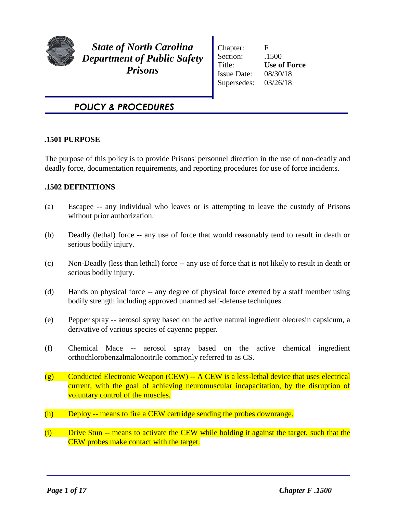

*State of North Carolina Department of Public Safety Prisons*

Chapter: F Section: .1500 Title: **Use of Force** Issue Date: 08/30/18 Supersedes: 03/26/18

# *POLICY & PROCEDURES*

### **.1501 PURPOSE**

The purpose of this policy is to provide Prisons' personnel direction in the use of non-deadly and deadly force, documentation requirements, and reporting procedures for use of force incidents.

# **.1502 DEFINITIONS**

- (a) Escapee -- any individual who leaves or is attempting to leave the custody of Prisons without prior authorization.
- (b) Deadly (lethal) force -- any use of force that would reasonably tend to result in death or serious bodily injury.
- (c) Non-Deadly (less than lethal) force -- any use of force that is not likely to result in death or serious bodily injury.
- (d) Hands on physical force -- any degree of physical force exerted by a staff member using bodily strength including approved unarmed self-defense techniques.
- (e) Pepper spray -- aerosol spray based on the active natural ingredient oleoresin capsicum, a derivative of various species of cayenne pepper.
- (f) Chemical Mace -- aerosol spray based on the active chemical ingredient orthochlorobenzalmalonoitrile commonly referred to as CS.
- $(g)$  Conducted Electronic Weapon (CEW) -- A CEW is a less-lethal device that uses electrical current, with the goal of achieving neuromuscular incapacitation, by the disruption of voluntary control of the muscles.
- (h) Deploy -- means to fire a CEW cartridge sending the probes downrange.
- (i) Drive Stun -- means to activate the CEW while holding it against the target, such that the CEW probes make contact with the target.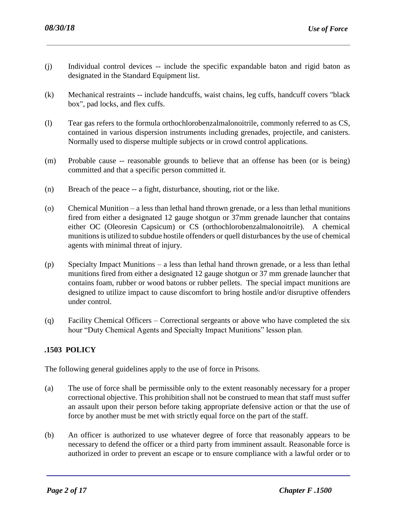- (j) Individual control devices -- include the specific expandable baton and rigid baton as designated in the Standard Equipment list.
- (k) Mechanical restraints -- include handcuffs, waist chains, leg cuffs, handcuff covers "black box", pad locks, and flex cuffs.
- (l) Tear gas refers to the formula orthochlorobenzalmalonoitrile, commonly referred to as CS, contained in various dispersion instruments including grenades, projectile, and canisters. Normally used to disperse multiple subjects or in crowd control applications.
- (m) Probable cause -- reasonable grounds to believe that an offense has been (or is being) committed and that a specific person committed it.
- (n) Breach of the peace -- a fight, disturbance, shouting, riot or the like.
- (o) Chemical Munition a less than lethal hand thrown grenade, or a less than lethal munitions fired from either a designated 12 gauge shotgun or 37mm grenade launcher that contains either OC (Oleoresin Capsicum) or CS (orthochlorobenzalmalonoitrile). A chemical munitions is utilized to subdue hostile offenders or quell disturbances by the use of chemical agents with minimal threat of injury.
- (p) Specialty Impact Munitions a less than lethal hand thrown grenade, or a less than lethal munitions fired from either a designated 12 gauge shotgun or 37 mm grenade launcher that contains foam, rubber or wood batons or rubber pellets. The special impact munitions are designed to utilize impact to cause discomfort to bring hostile and/or disruptive offenders under control.
- (q) Facility Chemical Officers Correctional sergeants or above who have completed the six hour "Duty Chemical Agents and Specialty Impact Munitions" lesson plan.

# **.1503 POLICY**

The following general guidelines apply to the use of force in Prisons.

- (a) The use of force shall be permissible only to the extent reasonably necessary for a proper correctional objective. This prohibition shall not be construed to mean that staff must suffer an assault upon their person before taking appropriate defensive action or that the use of force by another must be met with strictly equal force on the part of the staff.
- (b) An officer is authorized to use whatever degree of force that reasonably appears to be necessary to defend the officer or a third party from imminent assault. Reasonable force is authorized in order to prevent an escape or to ensure compliance with a lawful order or to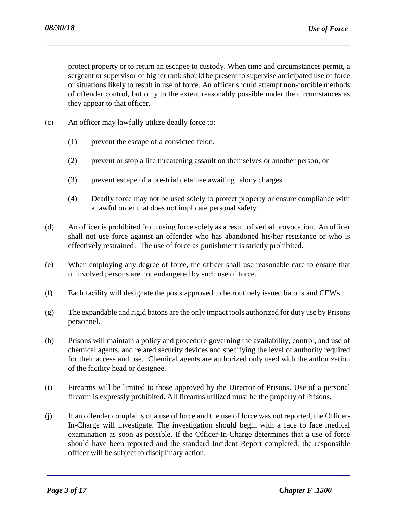protect property or to return an escapee to custody. When time and circumstances permit, a sergeant or supervisor of higher rank should be present to supervise anticipated use of force or situations likely to result in use of force. An officer should attempt non-forcible methods of offender control, but only to the extent reasonably possible under the circumstances as they appear to that officer.

- (c) An officer may lawfully utilize deadly force to:
	- (1) prevent the escape of a convicted felon,
	- (2) prevent or stop a life threatening assault on themselves or another person, or
	- (3) prevent escape of a pre-trial detainee awaiting felony charges.
	- (4) Deadly force may not be used solely to protect property or ensure compliance with a lawful order that does not implicate personal safety.
- (d) An officer is prohibited from using force solely as a result of verbal provocation. An officer shall not use force against an offender who has abandoned his/her resistance or who is effectively restrained. The use of force as punishment is strictly prohibited.
- (e) When employing any degree of force, the officer shall use reasonable care to ensure that uninvolved persons are not endangered by such use of force.
- (f) Each facility will designate the posts approved to be routinely issued batons and CEWs.
- (g) The expandable and rigid batons are the only impact tools authorized for duty use by Prisons personnel.
- (h) Prisons will maintain a policy and procedure governing the availability, control, and use of chemical agents, and related security devices and specifying the level of authority required for their access and use. Chemical agents are authorized only used with the authorization of the facility head or designee.
- (i) Firearms will be limited to those approved by the Director of Prisons. Use of a personal firearm is expressly prohibited. All firearms utilized must be the property of Prisons.
- (j) If an offender complains of a use of force and the use of force was not reported, the Officer-In-Charge will investigate. The investigation should begin with a face to face medical examination as soon as possible. If the Officer-In-Charge determines that a use of force should have been reported and the standard Incident Report completed, the responsible officer will be subject to disciplinary action.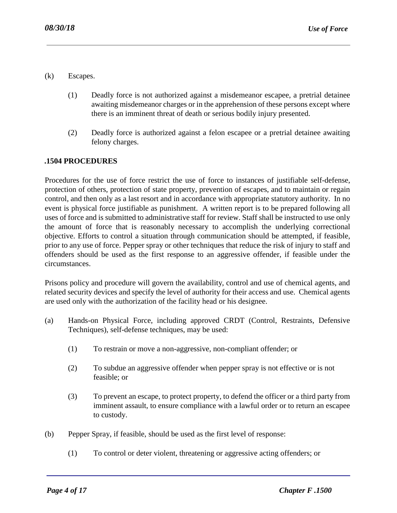- (k) Escapes.
	- (1) Deadly force is not authorized against a misdemeanor escapee, a pretrial detainee awaiting misdemeanor charges or in the apprehension of these persons except where there is an imminent threat of death or serious bodily injury presented.
	- (2) Deadly force is authorized against a felon escapee or a pretrial detainee awaiting felony charges.

### **.1504 PROCEDURES**

Procedures for the use of force restrict the use of force to instances of justifiable self-defense, protection of others, protection of state property, prevention of escapes, and to maintain or regain control, and then only as a last resort and in accordance with appropriate statutory authority. In no event is physical force justifiable as punishment. A written report is to be prepared following all uses of force and is submitted to administrative staff for review. Staff shall be instructed to use only the amount of force that is reasonably necessary to accomplish the underlying correctional objective. Efforts to control a situation through communication should be attempted, if feasible, prior to any use of force. Pepper spray or other techniques that reduce the risk of injury to staff and offenders should be used as the first response to an aggressive offender, if feasible under the circumstances.

Prisons policy and procedure will govern the availability, control and use of chemical agents, and related security devices and specify the level of authority for their access and use. Chemical agents are used only with the authorization of the facility head or his designee.

- (a) Hands-on Physical Force, including approved CRDT (Control, Restraints, Defensive Techniques), self-defense techniques, may be used:
	- (1) To restrain or move a non-aggressive, non-compliant offender; or
	- (2) To subdue an aggressive offender when pepper spray is not effective or is not feasible; or
	- (3) To prevent an escape, to protect property, to defend the officer or a third party from imminent assault, to ensure compliance with a lawful order or to return an escapee to custody.
- (b) Pepper Spray, if feasible, should be used as the first level of response:
	- (1) To control or deter violent, threatening or aggressive acting offenders; or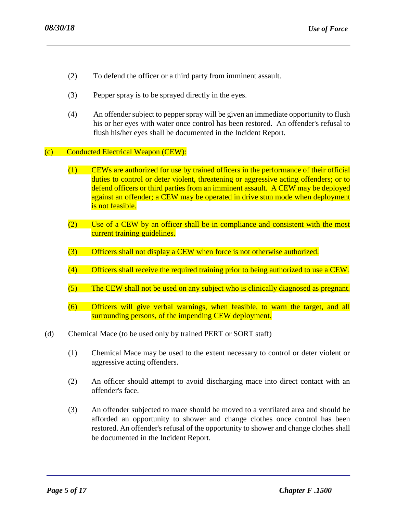- (2) To defend the officer or a third party from imminent assault.
- (3) Pepper spray is to be sprayed directly in the eyes.
- (4) An offender subject to pepper spray will be given an immediate opportunity to flush his or her eyes with water once control has been restored. An offender's refusal to flush his/her eyes shall be documented in the Incident Report.
- (c) Conducted Electrical Weapon (CEW):
	- (1) CEWs are authorized for use by trained officers in the performance of their official duties to control or deter violent, threatening or aggressive acting offenders; or to defend officers or third parties from an imminent assault. A CEW may be deployed against an offender; a CEW may be operated in drive stun mode when deployment is not feasible.
	- (2) Use of a CEW by an officer shall be in compliance and consistent with the most current training guidelines.
	- (3) Officers shall not display a CEW when force is not otherwise authorized.
	- (4) Officers shall receive the required training prior to being authorized to use a CEW.
	- (5) The CEW shall not be used on any subject who is clinically diagnosed as pregnant.
	- (6) Officers will give verbal warnings, when feasible, to warn the target, and all surrounding persons, of the impending CEW deployment.
- (d) Chemical Mace (to be used only by trained PERT or SORT staff)
	- (1) Chemical Mace may be used to the extent necessary to control or deter violent or aggressive acting offenders.
	- (2) An officer should attempt to avoid discharging mace into direct contact with an offender's face.
	- (3) An offender subjected to mace should be moved to a ventilated area and should be afforded an opportunity to shower and change clothes once control has been restored. An offender's refusal of the opportunity to shower and change clothes shall be documented in the Incident Report.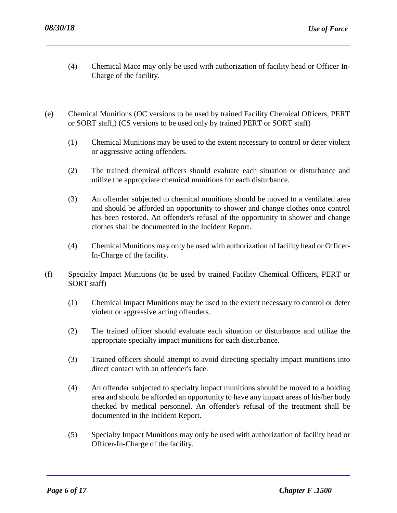- (4) Chemical Mace may only be used with authorization of facility head or Officer In-Charge of the facility.
- (e) Chemical Munitions (OC versions to be used by trained Facility Chemical Officers, PERT or SORT staff,) (CS versions to be used only by trained PERT or SORT staff)
	- (1) Chemical Munitions may be used to the extent necessary to control or deter violent or aggressive acting offenders.
	- (2) The trained chemical officers should evaluate each situation or disturbance and utilize the appropriate chemical munitions for each disturbance.
	- (3) An offender subjected to chemical munitions should be moved to a ventilated area and should be afforded an opportunity to shower and change clothes once control has been restored. An offender's refusal of the opportunity to shower and change clothes shall be documented in the Incident Report.
	- (4) Chemical Munitions may only be used with authorization of facility head or Officer-In-Charge of the facility.
- (f) Specialty Impact Munitions (to be used by trained Facility Chemical Officers, PERT or SORT staff)
	- (1) Chemical Impact Munitions may be used to the extent necessary to control or deter violent or aggressive acting offenders.
	- (2) The trained officer should evaluate each situation or disturbance and utilize the appropriate specialty impact munitions for each disturbance.
	- (3) Trained officers should attempt to avoid directing specialty impact munitions into direct contact with an offender's face.
	- (4) An offender subjected to specialty impact munitions should be moved to a holding area and should be afforded an opportunity to have any impact areas of his/her body checked by medical personnel. An offender's refusal of the treatment shall be documented in the Incident Report.
	- (5) Specialty Impact Munitions may only be used with authorization of facility head or Officer-In-Charge of the facility.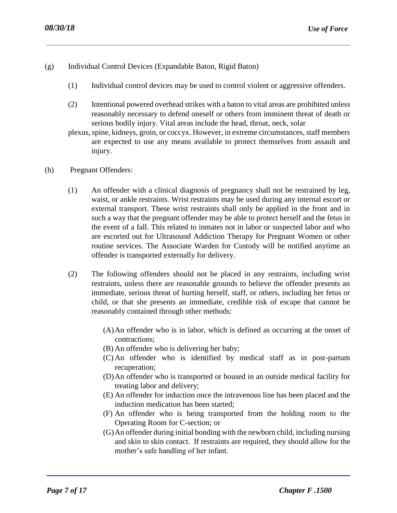- (g) Individual Control Devices (Expandable Baton, Rigid Baton)
	- (1) Individual control devices may be used to control violent or aggressive offenders.
	- (2) Intentional powered overhead strikes with a baton to vital areas are prohibited unless reasonably necessary to defend oneself or others from imminent threat of death or serious bodily injury. Vital areas include the head, throat, neck, solar
	- plexus, spine, kidneys, groin, or coccyx. However, in extreme circumstances, staff members are expected to use any means available to protect themselves from assault and injury.
- (h) Pregnant Offenders:
	- (1) An offender with a clinical diagnosis of pregnancy shall not be restrained by leg, waist, or ankle restraints. Wrist restraints may be used during any internal escort or external transport. These wrist restraints shall only be applied in the front and in such a way that the pregnant offender may be able to protect herself and the fetus in the event of a fall. This related to inmates not in labor or suspected labor and who are escorted out for Ultrasound Addiction Therapy for Pregnant Women or other routine services. The Associate Warden for Custody will be notified anytime an offender is transported externally for delivery.
	- (2) The following offenders should not be placed in any restraints, including wrist restraints, unless there are reasonable grounds to believe the offender presents an immediate, serious threat of hurting herself, staff, or others, including her fetus or child, or that she presents an immediate, credible risk of escape that cannot be reasonably contained through other methods:
		- (A)An offender who is in labor, which is defined as occurring at the onset of contractions;
		- (B) An offender who is delivering her baby;
		- (C) An offender who is identified by medical staff as in post-partum recuperation;
		- (D)An offender who is transported or housed in an outside medical facility for treating labor and delivery;
		- (E) An offender for induction once the intravenous line has been placed and the induction medication has been started;
		- (F) An offender who is being transported from the holding room to the Operating Room for C-section; or
		- (G)An offender during initial bonding with the newborn child, including nursing and skin to skin contact. If restraints are required, they should allow for the mother's safe handling of her infant.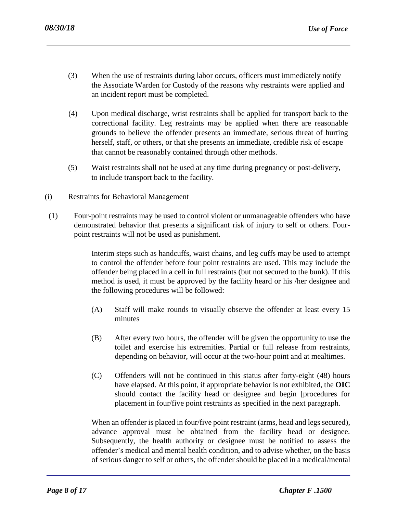- (3) When the use of restraints during labor occurs, officers must immediately notify the Associate Warden for Custody of the reasons why restraints were applied and an incident report must be completed.
- (4) Upon medical discharge, wrist restraints shall be applied for transport back to the correctional facility. Leg restraints may be applied when there are reasonable grounds to believe the offender presents an immediate, serious threat of hurting herself, staff, or others, or that she presents an immediate, credible risk of escape that cannot be reasonably contained through other methods.
- (5) Waist restraints shall not be used at any time during pregnancy or post-delivery, to include transport back to the facility.
- (i) Restraints for Behavioral Management
- (1) Four-point restraints may be used to control violent or unmanageable offenders who have demonstrated behavior that presents a significant risk of injury to self or others. Fourpoint restraints will not be used as punishment.

Interim steps such as handcuffs, waist chains, and leg cuffs may be used to attempt to control the offender before four point restraints are used. This may include the offender being placed in a cell in full restraints (but not secured to the bunk). If this method is used, it must be approved by the facility heard or his /her designee and the following procedures will be followed:

- (A) Staff will make rounds to visually observe the offender at least every 15 minutes
- (B) After every two hours, the offender will be given the opportunity to use the toilet and exercise his extremities. Partial or full release from restraints, depending on behavior, will occur at the two-hour point and at mealtimes.
- (C) Offenders will not be continued in this status after forty-eight (48) hours have elapsed. At this point, if appropriate behavior is not exhibited, the **OIC**  should contact the facility head or designee and begin [procedures for placement in four/five point restraints as specified in the next paragraph.

When an offender is placed in four/five point restraint (arms, head and legs secured), advance approval must be obtained from the facility head or designee. Subsequently, the health authority or designee must be notified to assess the offender's medical and mental health condition, and to advise whether, on the basis of serious danger to self or others, the offender should be placed in a medical/mental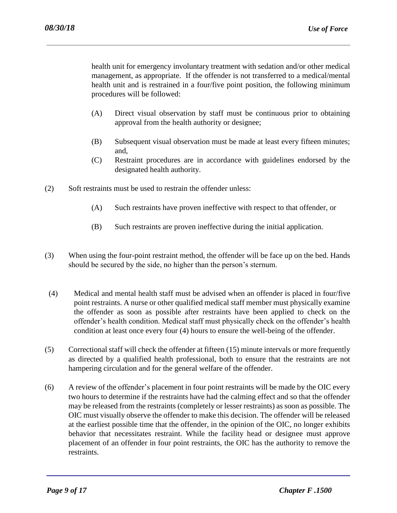health unit for emergency involuntary treatment with sedation and/or other medical management, as appropriate. If the offender is not transferred to a medical/mental health unit and is restrained in a four/five point position, the following minimum procedures will be followed:

- (A) Direct visual observation by staff must be continuous prior to obtaining approval from the health authority or designee;
- (B) Subsequent visual observation must be made at least every fifteen minutes; and,
- (C) Restraint procedures are in accordance with guidelines endorsed by the designated health authority.
- (2) Soft restraints must be used to restrain the offender unless:
	- (A) Such restraints have proven ineffective with respect to that offender, or
	- (B) Such restraints are proven ineffective during the initial application.
- (3) When using the four-point restraint method, the offender will be face up on the bed. Hands should be secured by the side, no higher than the person's sternum.
- (4) Medical and mental health staff must be advised when an offender is placed in four/five point restraints. A nurse or other qualified medical staff member must physically examine the offender as soon as possible after restraints have been applied to check on the offender's health condition. Medical staff must physically check on the offender's health condition at least once every four (4) hours to ensure the well-being of the offender.
- (5) Correctional staff will check the offender at fifteen (15) minute intervals or more frequently as directed by a qualified health professional, both to ensure that the restraints are not hampering circulation and for the general welfare of the offender.
- (6) A review of the offender's placement in four point restraints will be made by the OIC every two hours to determine if the restraints have had the calming effect and so that the offender may be released from the restraints (completely or lesser restraints) as soon as possible. The OIC must visually observe the offender to make this decision. The offender will be released at the earliest possible time that the offender, in the opinion of the OIC, no longer exhibits behavior that necessitates restraint. While the facility head or designee must approve placement of an offender in four point restraints, the OIC has the authority to remove the restraints.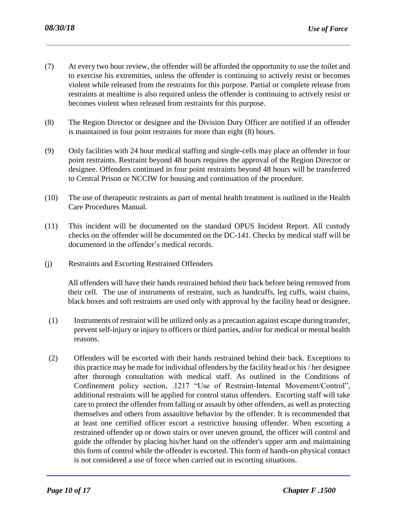- (7) At every two hour review, the offender will be afforded the opportunity to use the toilet and to exercise his extremities, unless the offender is continuing to actively resist or becomes violent while released from the restraints for this purpose. Partial or complete release from restraints at mealtime is also required unless the offender is continuing to actively resist or becomes violent when released from restraints for this purpose.
- (8) The Region Director or designee and the Division Duty Officer are notified if an offender is maintained in four point restraints for more than eight (8) hours.
- (9) Only facilities with 24 hour medical staffing and single-cells may place an offender in four point restraints. Restraint beyond 48 hours requires the approval of the Region Director or designee. Offenders continued in four point restraints beyond 48 hours will be transferred to Central Prison or NCCIW for housing and continuation of the procedure.
- (10) The use of therapeutic restraints as part of mental health treatment is outlined in the Health Care Procedures Manual.
- (11) This incident will be documented on the standard OPUS Incident Report. All custody checks on the offender will be documented on the DC-141. Checks by medical staff will be documented in the offender's medical records.
- (j) Restraints and Escorting Restrained Offenders

All offenders will have their hands restrained behind their back before being removed from their cell. The use of instruments of restraint, such as handcuffs, leg cuffs, waist chains, black boxes and soft restraints are used only with approval by the facility head or designee.

- (1) Instruments of restraint will be utilized only as a precaution against escape during transfer, prevent self-injury or injury to officers or third parties, and/or for medical or mental health reasons.
- (2) Offenders will be escorted with their hands restrained behind their back. Exceptions to this practice may be made for individual offenders by the facility head or his / her designee after thorough consultation with medical staff. As outlined in the Conditions of Confinement policy section, .1217 "Use of Restraint-Internal Movement/Control", additional restraints will be applied for control status offenders. Escorting staff will take care to protect the offender from falling or assault by other offenders, as well as protecting themselves and others from assaultive behavior by the offender. It is recommended that at least one certified officer escort a restrictive housing offender. When escorting a restrained offender up or down stairs or over uneven ground, the officer will control and guide the offender by placing his/her hand on the offender's upper arm and maintaining this form of control while the offender is escorted. This form of hands-on physical contact is not considered a use of force when carried out in escorting situations.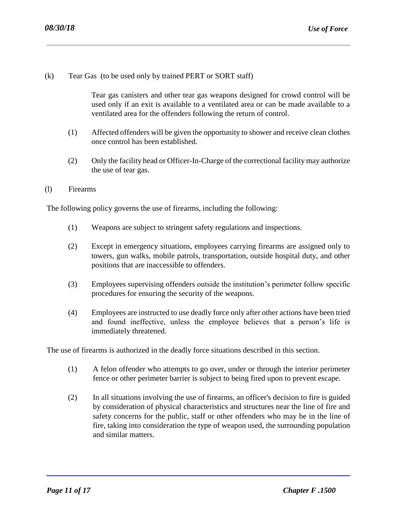(k) Tear Gas (to be used only by trained PERT or SORT staff)

Tear gas canisters and other tear gas weapons designed for crowd control will be used only if an exit is available to a ventilated area or can be made available to a ventilated area for the offenders following the return of control.

- (1) Affected offenders will be given the opportunity to shower and receive clean clothes once control has been established.
- (2) Only the facility head or Officer-In-Charge of the correctional facility may authorize the use of tear gas.
- (l) Firearms

The following policy governs the use of firearms, including the following:

- (1) Weapons are subject to stringent safety regulations and inspections.
- (2) Except in emergency situations, employees carrying firearms are assigned only to towers, gun walks, mobile patrols, transportation, outside hospital duty, and other positions that are inaccessible to offenders.
- (3) Employees supervising offenders outside the institution's perimeter follow specific procedures for ensuring the security of the weapons.
- (4) Employees are instructed to use deadly force only after other actions have been tried and found ineffective, unless the employee believes that a person's life is immediately threatened.

The use of firearms is authorized in the deadly force situations described in this section.

- (1) A felon offender who attempts to go over, under or through the interior perimeter fence or other perimeter barrier is subject to being fired upon to prevent escape.
- (2) In all situations involving the use of firearms, an officer's decision to fire is guided by consideration of physical characteristics and structures near the line of fire and safety concerns for the public, staff or other offenders who may be in the line of fire, taking into consideration the type of weapon used, the surrounding population and similar matters.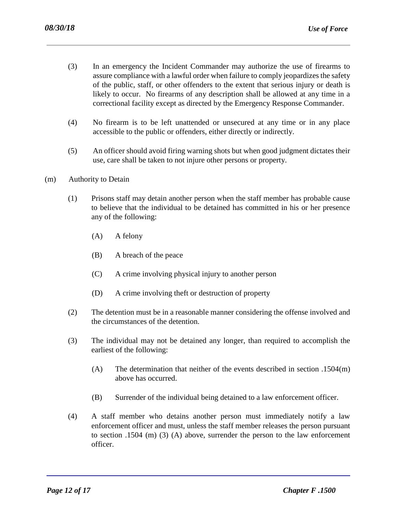- (3) In an emergency the Incident Commander may authorize the use of firearms to assure compliance with a lawful order when failure to comply jeopardizes the safety of the public, staff, or other offenders to the extent that serious injury or death is likely to occur. No firearms of any description shall be allowed at any time in a correctional facility except as directed by the Emergency Response Commander.
- (4) No firearm is to be left unattended or unsecured at any time or in any place accessible to the public or offenders, either directly or indirectly.
- (5) An officer should avoid firing warning shots but when good judgment dictates their use, care shall be taken to not injure other persons or property.
- (m) Authority to Detain
	- (1) Prisons staff may detain another person when the staff member has probable cause to believe that the individual to be detained has committed in his or her presence any of the following:
		- (A) A felony
		- (B) A breach of the peace
		- (C) A crime involving physical injury to another person
		- (D) A crime involving theft or destruction of property
	- (2) The detention must be in a reasonable manner considering the offense involved and the circumstances of the detention.
	- (3) The individual may not be detained any longer, than required to accomplish the earliest of the following:
		- (A) The determination that neither of the events described in section .1504(m) above has occurred.
		- (B) Surrender of the individual being detained to a law enforcement officer.
	- (4) A staff member who detains another person must immediately notify a law enforcement officer and must, unless the staff member releases the person pursuant to section .1504 (m) (3) (A) above, surrender the person to the law enforcement officer.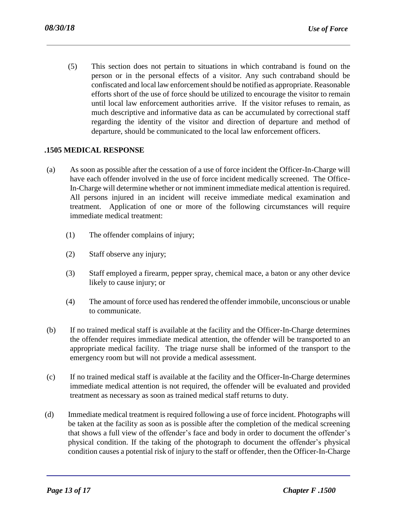(5) This section does not pertain to situations in which contraband is found on the person or in the personal effects of a visitor. Any such contraband should be confiscated and local law enforcement should be notified as appropriate. Reasonable efforts short of the use of force should be utilized to encourage the visitor to remain until local law enforcement authorities arrive. If the visitor refuses to remain, as much descriptive and informative data as can be accumulated by correctional staff regarding the identity of the visitor and direction of departure and method of departure, should be communicated to the local law enforcement officers.

### **.1505 MEDICAL RESPONSE**

- (a) As soon as possible after the cessation of a use of force incident the Officer-In-Charge will have each offender involved in the use of force incident medically screened. The Office-In-Charge will determine whether or not imminent immediate medical attention is required. All persons injured in an incident will receive immediate medical examination and treatment. Application of one or more of the following circumstances will require immediate medical treatment:
	- (1) The offender complains of injury;
	- (2) Staff observe any injury;
	- (3) Staff employed a firearm, pepper spray, chemical mace, a baton or any other device likely to cause injury; or
	- (4) The amount of force used has rendered the offender immobile, unconscious or unable to communicate.
- (b) If no trained medical staff is available at the facility and the Officer-In-Charge determines the offender requires immediate medical attention, the offender will be transported to an appropriate medical facility. The triage nurse shall be informed of the transport to the emergency room but will not provide a medical assessment.
- (c) If no trained medical staff is available at the facility and the Officer-In-Charge determines immediate medical attention is not required, the offender will be evaluated and provided treatment as necessary as soon as trained medical staff returns to duty.
- (d) Immediate medical treatment is required following a use of force incident. Photographs will be taken at the facility as soon as is possible after the completion of the medical screening that shows a full view of the offender's face and body in order to document the offender's physical condition. If the taking of the photograph to document the offender's physical condition causes a potential risk of injury to the staff or offender, then the Officer-In-Charge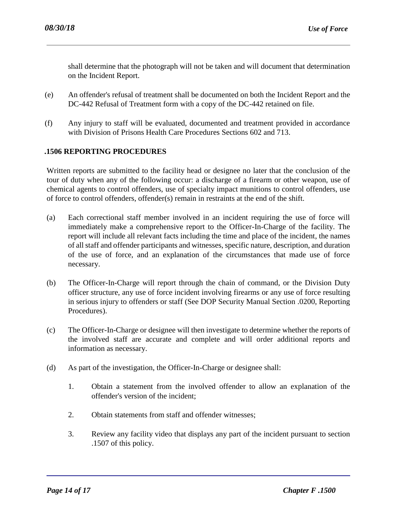shall determine that the photograph will not be taken and will document that determination on the Incident Report.

- (e) An offender's refusal of treatment shall be documented on both the Incident Report and the DC-442 Refusal of Treatment form with a copy of the DC-442 retained on file.
- (f) Any injury to staff will be evaluated, documented and treatment provided in accordance with Division of Prisons Health Care Procedures Sections 602 and 713.

### **.1506 REPORTING PROCEDURES**

Written reports are submitted to the facility head or designee no later that the conclusion of the tour of duty when any of the following occur: a discharge of a firearm or other weapon, use of chemical agents to control offenders, use of specialty impact munitions to control offenders, use of force to control offenders, offender(s) remain in restraints at the end of the shift.

- (a) Each correctional staff member involved in an incident requiring the use of force will immediately make a comprehensive report to the Officer-In-Charge of the facility. The report will include all relevant facts including the time and place of the incident, the names of all staff and offender participants and witnesses, specific nature, description, and duration of the use of force, and an explanation of the circumstances that made use of force necessary.
- (b) The Officer-In-Charge will report through the chain of command, or the Division Duty officer structure, any use of force incident involving firearms or any use of force resulting in serious injury to offenders or staff (See DOP Security Manual Section .0200, Reporting Procedures).
- (c) The Officer-In-Charge or designee will then investigate to determine whether the reports of the involved staff are accurate and complete and will order additional reports and information as necessary.
- (d) As part of the investigation, the Officer-In-Charge or designee shall:
	- 1. Obtain a statement from the involved offender to allow an explanation of the offender's version of the incident;
	- 2. Obtain statements from staff and offender witnesses;
	- 3. Review any facility video that displays any part of the incident pursuant to section .1507 of this policy.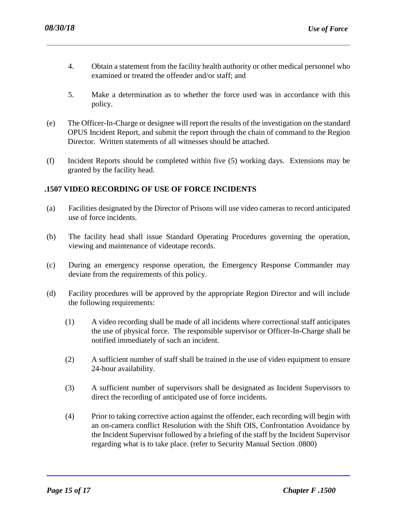- 4. Obtain a statement from the facility health authority or other medical personnel who examined or treated the offender and/or staff; and
- 5. Make a determination as to whether the force used was in accordance with this policy.
- (e) The Officer-In-Charge or designee will report the results of the investigation on the standard OPUS Incident Report, and submit the report through the chain of command to the Region Director. Written statements of all witnesses should be attached.
- (f) Incident Reports should be completed within five (5) working days. Extensions may be granted by the facility head.

# **.1507 VIDEO RECORDING OF USE OF FORCE INCIDENTS**

- (a) Facilities designated by the Director of Prisons will use video cameras to record anticipated use of force incidents.
- (b) The facility head shall issue Standard Operating Procedures governing the operation, viewing and maintenance of videotape records.
- (c) During an emergency response operation, the Emergency Response Commander may deviate from the requirements of this policy.
- (d) Facility procedures will be approved by the appropriate Region Director and will include the following requirements:
	- (1) A video recording shall be made of all incidents where correctional staff anticipates the use of physical force. The responsible supervisor or Officer-In-Charge shall be notified immediately of such an incident.
	- (2) A sufficient number of staff shall be trained in the use of video equipment to ensure 24-hour availability.
	- (3) A sufficient number of supervisors shall be designated as Incident Supervisors to direct the recording of anticipated use of force incidents.
	- (4) Prior to taking corrective action against the offender, each recording will begin with an on-camera conflict Resolution with the Shift OIS, Confrontation Avoidance by the Incident Supervisor followed by a briefing of the staff by the Incident Supervisor regarding what is to take place. (refer to Security Manual Section .0800)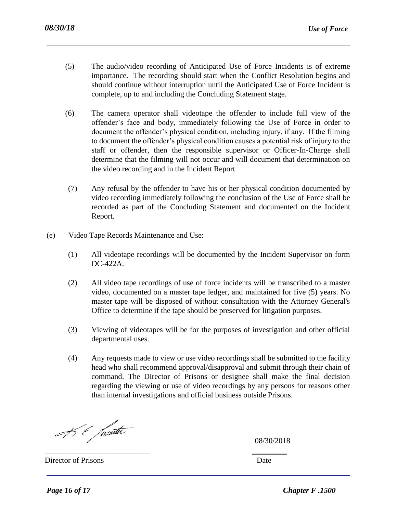- (5) The audio/video recording of Anticipated Use of Force Incidents is of extreme importance. The recording should start when the Conflict Resolution begins and should continue without interruption until the Anticipated Use of Force Incident is complete, up to and including the Concluding Statement stage.
- (6) The camera operator shall videotape the offender to include full view of the offender's face and body, immediately following the Use of Force in order to document the offender's physical condition, including injury, if any. If the filming to document the offender's physical condition causes a potential risk of injury to the staff or offender, then the responsible supervisor or Officer-In-Charge shall determine that the filming will not occur and will document that determination on the video recording and in the Incident Report.
- (7) Any refusal by the offender to have his or her physical condition documented by video recording immediately following the conclusion of the Use of Force shall be recorded as part of the Concluding Statement and documented on the Incident Report.
- (e) Video Tape Records Maintenance and Use:
	- (1) All videotape recordings will be documented by the Incident Supervisor on form DC-422A.
	- (2) All video tape recordings of use of force incidents will be transcribed to a master video, documented on a master tape ledger, and maintained for five (5) years. No master tape will be disposed of without consultation with the Attorney General's Office to determine if the tape should be preserved for litigation purposes.
	- (3) Viewing of videotapes will be for the purposes of investigation and other official departmental uses.
	- (4) Any requests made to view or use video recordings shall be submitted to the facility head who shall recommend approval/disapproval and submit through their chain of command. The Director of Prisons or designee shall make the final decision regarding the viewing or use of video recordings by any persons for reasons other than internal investigations and official business outside Prisons.

\_\_\_\_\_\_\_\_\_\_\_\_\_\_\_\_\_\_\_\_\_\_\_\_\_\_\_ \_\_\_\_\_\_\_\_\_

K. & fanter

08/30/2018

Director of Prisons Date **Director** of Prisons Date **D**